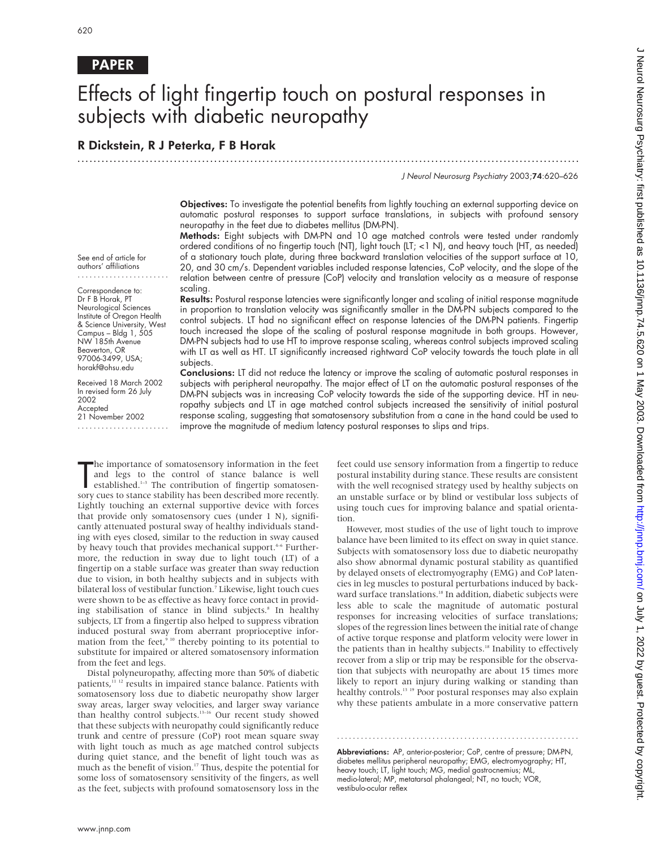# PAPER

# Effects of light fingertip touch on postural responses in subjects with diabetic neuropathy

.............................................................................................................................

# R Dickstein, R J Peterka, F B Horak

J Neurol Neurosurg Psychiatry 2003;74:620–626

Objectives: To investigate the potential benefits from lightly touching an external supporting device on automatic postural responses to support surface translations, in subjects with profound sensory neuropathy in the feet due to diabetes mellitus (DM-PN).

Methods: Eight subjects with DM-PN and 10 age matched controls were tested under randomly ordered conditions of no fingertip touch (NT), light touch (LT; <1 N), and heavy touch (HT, as needed) of a stationary touch plate, during three backward translation velocities of the support surface at 10, 20, and 30 cm/s. Dependent variables included response latencies, CoP velocity, and the slope of the relation between centre of pressure (CoP) velocity and translation velocity as a measure of response scaling.

Results: Postural response latencies were significantly longer and scaling of initial response magnitude in proportion to translation velocity was significantly smaller in the DM-PN subjects compared to the control subjects. LT had no significant effect on response latencies of the DM-PN patients. Fingertip touch increased the slope of the scaling of postural response magnitude in both groups. However, DM-PN subjects had to use HT to improve response scaling, whereas control subjects improved scaling with LT as well as HT. LT significantly increased rightward CoP velocity towards the touch plate in all subjects.

Conclusions: LT did not reduce the latency or improve the scaling of automatic postural responses in subjects with peripheral neuropathy. The major effect of LT on the automatic postural responses of the DM-PN subjects was in increasing CoP velocity towards the side of the supporting device. HT in neuropathy subjects and LT in age matched control subjects increased the sensitivity of initial postural response scaling, suggesting that somatosensory substitution from a cane in the hand could be used to improve the magnitude of medium latency postural responses to slips and trips.

.......................

Dr F B Horak, PT Neurological Sciences Institute of Oregon Health & Science University, West Campus – Bldg 1, 505 NW 185th Avenue Beaverton, OR 97006-3499, USA; horakf@ohsu.edu

Received 18 March 2002 In revised form 26 July 2002 Accepted 21 November 2002 .......................

The importance of somatosensory information in the feet and legs to the control of stance balance is well established.<sup>1-3</sup> The contribution of fingertip somatosensory cues to stance stability has been described more recen he importance of somatosensory information in the feet and legs to the control of stance balance is well established.1–3 The contribution of fingertip somatosen-Lightly touching an external supportive device with forces that provide only somatosensory cues (under 1 N), significantly attenuated postural sway of healthy individuals standing with eyes closed, similar to the reduction in sway caused by heavy touch that provides mechanical support.<sup>4-6</sup> Furthermore, the reduction in sway due to light touch (LT) of a fingertip on a stable surface was greater than sway reduction due to vision, in both healthy subjects and in subjects with bilateral loss of vestibular function.<sup>7</sup> Likewise, light touch cues were shown to be as effective as heavy force contact in providing stabilisation of stance in blind subjects.<sup>8</sup> In healthy subjects, LT from a fingertip also helped to suppress vibration induced postural sway from aberrant proprioceptive information from the feet, $9^{10}$  thereby pointing to its potential to substitute for impaired or altered somatosensory information from the feet and legs.

Distal polyneuropathy, affecting more than 50% of diabetic patients,<sup>11 12</sup> results in impaired stance balance. Patients with somatosensory loss due to diabetic neuropathy show larger sway areas, larger sway velocities, and larger sway variance than healthy control subjects.<sup>13–16</sup> Our recent study showed that these subjects with neuropathy could significantly reduce trunk and centre of pressure (CoP) root mean square sway with light touch as much as age matched control subjects during quiet stance, and the benefit of light touch was as much as the benefit of vision.17 Thus, despite the potential for some loss of somatosensory sensitivity of the fingers, as well as the feet, subjects with profound somatosensory loss in the

feet could use sensory information from a fingertip to reduce postural instability during stance. These results are consistent with the well recognised strategy used by healthy subjects on an unstable surface or by blind or vestibular loss subjects of using touch cues for improving balance and spatial orientation.

However, most studies of the use of light touch to improve balance have been limited to its effect on sway in quiet stance. Subjects with somatosensory loss due to diabetic neuropathy also show abnormal dynamic postural stability as quantified by delayed onsets of electromyography (EMG) and CoP latencies in leg muscles to postural perturbations induced by backward surface translations.<sup>18</sup> In addition, diabetic subjects were less able to scale the magnitude of automatic postural responses for increasing velocities of surface translations; slopes of the regression lines between the initial rate of change of active torque response and platform velocity were lower in the patients than in healthy subjects.<sup>18</sup> Inability to effectively recover from a slip or trip may be responsible for the observation that subjects with neuropathy are about 15 times more likely to report an injury during walking or standing than healthy controls.<sup>13</sup> <sup>19</sup> Poor postural responses may also explain why these patients ambulate in a more conservative pattern

Abbreviations: AP, anterior-posterior; CoP, centre of pressure; DM-PN, diabetes mellitus peripheral neuropathy; EMG, electromyography; HT, heavy touch; LT, light touch; MG, medial gastrocnemius; ML, medio-lateral; MP, metatarsal phalangeal; NT, no touch; VOR, vestibulo-ocular reflex

.............................................................

See end of article for authors' affiliations Correspondence to: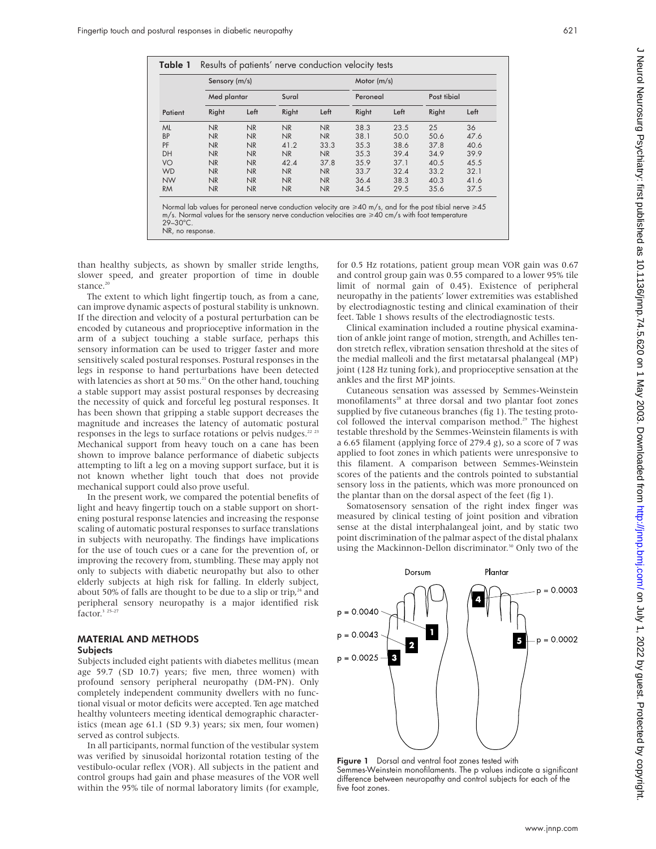| ۰.<br>×<br>$\sim$ | .,<br>۰. |  |
|-------------------|----------|--|
|                   |          |  |

| Med plantar<br>Right<br><b>NR</b> | Left                                                                           | Sural<br>Right |                | Peroneal |      | Post tibial |                                                                                                                                                                                                                                   |
|-----------------------------------|--------------------------------------------------------------------------------|----------------|----------------|----------|------|-------------|-----------------------------------------------------------------------------------------------------------------------------------------------------------------------------------------------------------------------------------|
|                                   |                                                                                |                |                |          |      |             |                                                                                                                                                                                                                                   |
|                                   |                                                                                |                | Left           | Right    | Left | Right       | Left                                                                                                                                                                                                                              |
|                                   | NR                                                                             | <b>NR</b>      | N <sub>R</sub> | 38.3     | 23.5 | 25          | 36                                                                                                                                                                                                                                |
| NR                                | NR                                                                             | NR             | N <sub>R</sub> | 38.1     | 50.0 | 50.6        | 47.6                                                                                                                                                                                                                              |
| NR                                | NR                                                                             | 41.2           | 33.3           | 35.3     | 38.6 | 37.8        | 40.6                                                                                                                                                                                                                              |
| NR                                | NR                                                                             | <b>NR</b>      | N <sub>R</sub> | 35.3     | 39.4 | 34.9        | 39.9                                                                                                                                                                                                                              |
| NR                                | NR                                                                             | 42.4           | 37.8           | 35.9     | 37.1 | 40.5        | 45.5                                                                                                                                                                                                                              |
| NR                                | NR                                                                             | <b>NR</b>      | N <sub>R</sub> | 33.7     | 32.4 | 33.2        | 32.1                                                                                                                                                                                                                              |
| NR                                | NR                                                                             | NR             | N <sub>R</sub> | 36.4     | 38.3 | 40.3        | 41.6                                                                                                                                                                                                                              |
| NR                                | NR                                                                             | NR             | N <sub>R</sub> | 34.5     | 29.5 | 35.6        | 37.5                                                                                                                                                                                                                              |
|                                   |                                                                                |                |                |          |      |             |                                                                                                                                                                                                                                   |
|                                   | NR, no response.<br>than healthy subjects, as shown by smaller stride lengths, |                |                |          |      |             | Normal lab values for peroneal nerve conduction velocity are $\geq 40$ m/s, and for the post tibial nerve $\geq 45$<br>$m/s$ . Normal values for the sensory nerve conduction velocities are $\geq 40$ cm/s with foot temperature |

The extent to which light can improve dynamic aspects of postural stability is unknown. If the direction and velocity of a postural perturbation can be encoded by cutaneous and proprioceptive information in the arm of a subject touching a stable surface, perhaps this sensory information can be used to trigger faster and more sensitively scaled postural responses. Postural responses in the legs in response to hand perturbations have been detected with latencies as short at 50 ms. $^{21}$  On the other hand, touching a stable support may assist postural responses by decreasing the necessity of quick and forceful leg postural responses. It has been shown that gripping a stable support decreases the magnitude and increases the latency of automatic postural responses in the legs to surface rotations or pelvis nudges. $22 \times 23$ Mechanical support from heavy touch on a cane has been shown to improve balance performance of diabetic subjects attempting to lift a leg on a moving support surface, but it is not known whether light touch that does not provide mechanical support could also prove useful.

In the present work, we compared the potential benefits of light and heavy fingertip touch on a stable support on shortening postural response latencies and increasing the response scaling of automatic postural responses to surface translations in subjects with neuropathy. The findings have implications for the use of touch cues or a cane for the prevention of, or improving the recovery from, stumbling. These may apply not only to subjects with diabetic neuropathy but also to other elderly subjects at high risk for falling. In elderly subject, about 50% of falls are thought to be due to a slip or trip, $24$  and peripheral sensory neuropathy is a major identified risk factor.<sup>3</sup> <sup>25-27</sup>

#### MATERIAL AND METHODS **Subjects**

Subjects included eight patients with diabetes mellitus (mean age 59.7 (SD 10.7) years; five men, three women) with profound sensory peripheral neuropathy (DM-PN). Only completely independent community dwellers with no functional visual or motor deficits were accepted. Ten age matched healthy volunteers meeting identical demographic characteristics (mean age 61.1 (SD 9.3) years; six men, four women) served as control subjects.

In all participants, normal function of the vestibular system was verified by sinusoidal horizontal rotation testing of the vestibulo-ocular reflex (VOR). All subjects in the patient and control groups had gain and phase measures of the VOR well within the 95% tile of normal laboratory limits (for example,

ean VOR gain was 0.67 ared to a lower 95% tile xistence of peripheral emities was established by electrodiagnostic testing and clinical examination of their feet. Table 1 shows results of the electrodiagnostic tests.

Clinical examination included a routine physical examination of ankle joint range of motion, strength, and Achilles tendon stretch reflex, vibration sensation threshold at the sites of the medial malleoli and the first metatarsal phalangeal (MP) joint (128 Hz tuning fork), and proprioceptive sensation at the ankles and the first MP joints.

Cutaneous sensation was assessed by Semmes-Weinstein monofilaments<sup>28</sup> at three dorsal and two plantar foot zones supplied by five cutaneous branches (fig 1). The testing protocol followed the interval comparison method.<sup>29</sup> The highest testable threshold by the Semmes-Weinstein filaments is with a 6.65 filament (applying force of 279.4 g), so a score of 7 was applied to foot zones in which patients were unresponsive to this filament. A comparison between Semmes-Weinstein scores of the patients and the controls pointed to substantial sensory loss in the patients, which was more pronounced on the plantar than on the dorsal aspect of the feet (fig 1).

Somatosensory sensation of the right index finger was measured by clinical testing of joint position and vibration sense at the distal interphalangeal joint, and by static two point discrimination of the palmar aspect of the distal phalanx using the Mackinnon-Dellon discriminator.<sup>30</sup> Only two of the



Figure 1 Dorsal and ventral foot zones tested with Semmes-Weinstein monofilaments. The p values indicate a significant difference between neuropathy and control subjects for each of the five foot zones.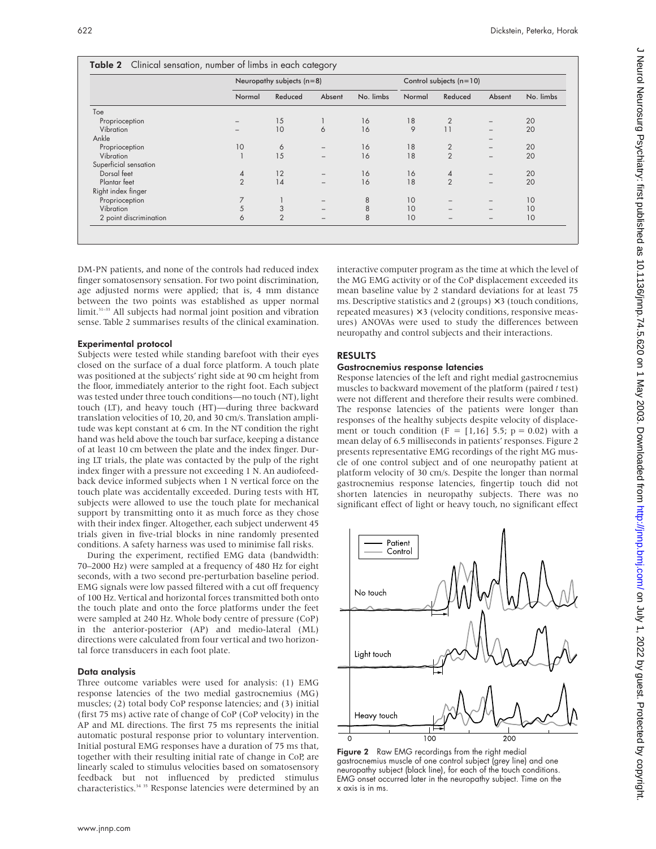|                        |                | Neuropathy subjects $(n=8)$ |                   |           |        | Control subjects $(n=10)$ |                   |           |  |  |
|------------------------|----------------|-----------------------------|-------------------|-----------|--------|---------------------------|-------------------|-----------|--|--|
|                        | Normal         | Reduced                     | Absent            | No. limbs | Normal | Reduced                   | Absent            | No. limbs |  |  |
| Toe                    |                |                             |                   |           |        |                           |                   |           |  |  |
| Proprioception         |                | 15                          |                   | 16        | 18     | $\overline{2}$            | $\qquad \qquad -$ | 20        |  |  |
| Vibration              |                | 10                          | 6                 | 16        | 9      | 11                        |                   | 20        |  |  |
| Ankle                  |                |                             |                   |           |        |                           | $\qquad \qquad -$ |           |  |  |
| Proprioception         | 10             | 6                           |                   | 16        | 18     | $\overline{2}$            | $\qquad \qquad -$ | 20        |  |  |
| Vibration              |                | 15                          |                   | 16        | 18     | $\overline{2}$            |                   | 20        |  |  |
| Superficial sensation  |                |                             |                   |           |        |                           |                   |           |  |  |
| Dorsal feet            | 4              | 12                          | $\qquad \qquad -$ | 16        | 16     | 4                         |                   | 20        |  |  |
| Plantar feet           | $\overline{2}$ | 14                          | -                 | 16        | 18     | $\overline{2}$            | $\qquad \qquad -$ | 20        |  |  |
| Right index finger     |                |                             |                   |           |        |                           |                   |           |  |  |
| Proprioception         | 7              |                             |                   | 8         | 10     |                           |                   | 10        |  |  |
| Vibration              | 5              | 3                           |                   | 8         | 10     |                           |                   | 10        |  |  |
| 2 point discrimination | 6              | $\overline{2}$              |                   | 8         | 10     | $\overline{\phantom{0}}$  | $\qquad \qquad -$ | 10        |  |  |

DM-PN patients, and none of the controls had reduced index finger somatosensory sensation. For two point discrimination, age adjusted norms were applied; that is, 4 mm distance between the two points was established as upper normal limit.31–33 All subjects had normal joint position and vibration sense. Table 2 summarises results of the clinical examination.

#### Experimental protocol

Subjects were tested while standing barefoot with their eyes closed on the surface of a dual force platform. A touch plate was positioned at the subjects' right side at 90 cm height from the floor, immediately anterior to the right foot. Each subject was tested under three touch conditions—no touch (NT), light touch (LT), and heavy touch (HT)—during three backward translation velocities of 10, 20, and 30 cm/s. Translation amplitude was kept constant at 6 cm. In the NT condition the right hand was held above the touch bar surface, keeping a distance of at least 10 cm between the plate and the index finger. During LT trials, the plate was contacted by the pulp of the right index finger with a pressure not exceeding 1 N. An audiofeedback device informed subjects when 1 N vertical force on the touch plate was accidentally exceeded. During tests with HT, subjects were allowed to use the touch plate for mechanical support by transmitting onto it as much force as they chose with their index finger. Altogether, each subject underwent 45 trials given in five-trial blocks in nine randomly presented conditions. A safety harness was used to minimise fall risks.

During the experiment, rectified EMG data (bandwidth: 70–2000 Hz) were sampled at a frequency of 480 Hz for eight seconds, with a two second pre-perturbation baseline period. EMG signals were low passed filtered with a cut off frequency of 100 Hz. Vertical and horizontal forces transmitted both onto the touch plate and onto the force platforms under the feet were sampled at 240 Hz. Whole body centre of pressure (CoP) in the anterior-posterior (AP) and medio-lateral (ML) directions were calculated from four vertical and two horizontal force transducers in each foot plate.

#### Data analysis

Three outcome variables were used for analysis: (1) EMG response latencies of the two medial gastrocnemius (MG) muscles; (2) total body CoP response latencies; and (3) initial (first 75 ms) active rate of change of CoP (CoP velocity) in the AP and ML directions. The first 75 ms represents the initial automatic postural response prior to voluntary intervention. Initial postural EMG responses have a duration of 75 ms that, together with their resulting initial rate of change in CoP, are linearly scaled to stimulus velocities based on somatosensory feedback but not influenced by predicted stimulus characteristics.<sup>34 35</sup> Response latencies were determined by an

interactive computer program as the time at which the level of the MG EMG activity or of the CoP displacement exceeded its mean baseline value by 2 standard deviations for at least 75 ms. Descriptive statistics and 2 (groups)  $\times$  3 (touch conditions, repeated measures)  $\times$  3 (velocity conditions, responsive measures) ANOVAs were used to study the differences between neuropathy and control subjects and their interactions.

### RESULTS

#### Gastrocnemius response latencies

Response latencies of the left and right medial gastrocnemius muscles to backward movement of the platform (paired *t* test) were not different and therefore their results were combined. The response latencies of the patients were longer than responses of the healthy subjects despite velocity of displacement or touch condition (F =  $[1,16]$  5.5; p = 0.02) with a mean delay of 6.5 milliseconds in patients' responses. Figure 2 presents representative EMG recordings of the right MG muscle of one control subject and of one neuropathy patient at platform velocity of 30 cm/s. Despite the longer than normal gastrocnemius response latencies, fingertip touch did not shorten latencies in neuropathy subjects. There was no significant effect of light or heavy touch, no significant effect



Figure 2 Raw EMG recordings from the right medial gastrocnemius muscle of one control subject (grey line) and one neuropathy subject (black line), for each of the touch conditions. EMG onset occurred later in the neuropathy subject. Time on the x axis is in ms.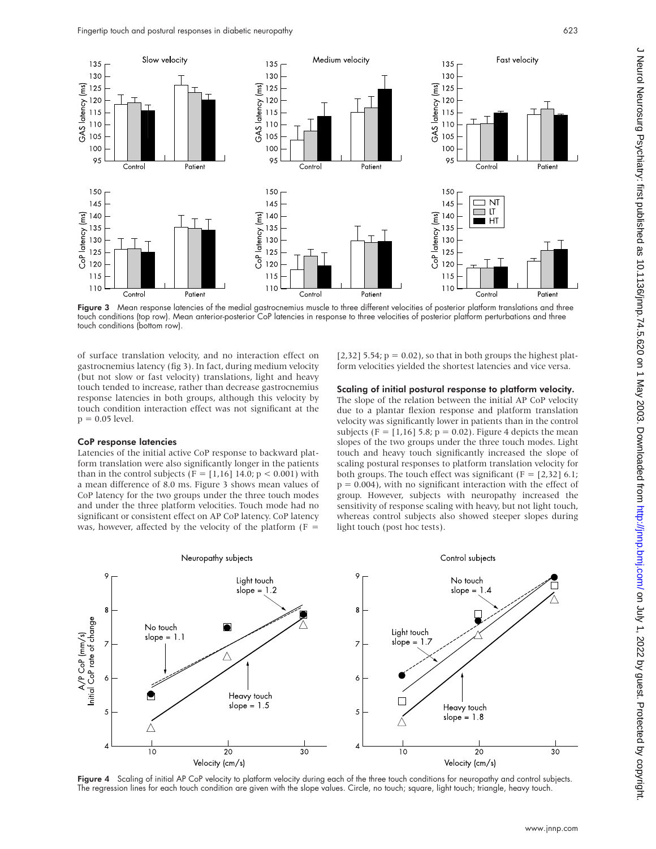

Figure 3 Mean response latencies of the medial gastrocnemius muscle to three different velocities of posterior platform translations and three touch conditions (top row). Mean anterior-posterior CoP latencies in response to three velocities of posterior platform perturbations and three touch conditions (bottom row).

of surface translation velocity, and no interaction effect on gastrocnemius latency (fig 3). In fact, during medium velocity (but not slow or fast velocity) translations, light and heavy touch tended to increase, rather than decrease gastrocnemius response latencies in both groups, although this velocity by touch condition interaction effect was not significant at the  $p = 0.05$  level.

#### CoP response latencies

Latencies of the initial active CoP response to backward platform translation were also significantly longer in the patients than in the control subjects (F = [1,16] 14.0;  $p < 0.001$ ) with a mean difference of 8.0 ms. Figure 3 shows mean values of CoP latency for the two groups under the three touch modes and under the three platform velocities. Touch mode had no significant or consistent effect on AP CoP latency. CoP latency was, however, affected by the velocity of the platform  $(F =$ 

[2,32] 5.54;  $p = 0.02$ ), so that in both groups the highest platform velocities yielded the shortest latencies and vice versa.

#### Scaling of initial postural response to platform velocity.

The slope of the relation between the initial AP CoP velocity due to a plantar flexion response and platform translation velocity was significantly lower in patients than in the control subjects (F =  $[1,16]$  5.8; p = 0.02). Figure 4 depicts the mean slopes of the two groups under the three touch modes. Light touch and heavy touch significantly increased the slope of scaling postural responses to platform translation velocity for both groups. The touch effect was significant ( $F = [2,32]$  6.1;  $p = 0.004$ ), with no significant interaction with the effect of group. However, subjects with neuropathy increased the sensitivity of response scaling with heavy, but not light touch, whereas control subjects also showed steeper slopes during light touch (post hoc tests).



Figure 4 Scaling of initial AP CoP velocity to platform velocity during each of the three touch conditions for neuropathy and control subjects. The regression lines for each touch condition are given with the slope values. Circle, no touch; square, light touch; triangle, heavy touch.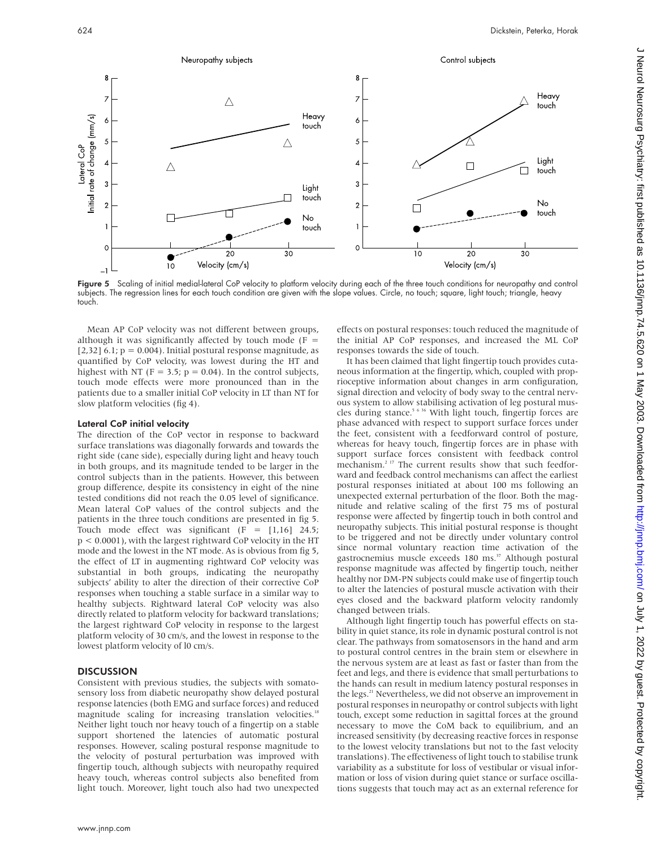

Figure 5 Scaling of initial medial-lateral CoP velocity to platform velocity during each of the three touch conditions for neuropathy and control subjects. The regression lines for each touch condition are given with the slope values. Circle, no touch; square, light touch; triangle, heavy touch.

Mean AP CoP velocity was not different between groups, although it was significantly affected by touch mode ( $F =$  $[2,32]$  6.1;  $p = 0.004$ ). Initial postural response magnitude, as quantified by CoP velocity, was lowest during the HT and highest with NT ( $F = 3.5$ ;  $p = 0.04$ ). In the control subjects, touch mode effects were more pronounced than in the patients due to a smaller initial CoP velocity in LT than NT for slow platform velocities (fig 4).

#### Lateral CoP initial velocity

The direction of the CoP vector in response to backward surface translations was diagonally forwards and towards the right side (cane side), especially during light and heavy touch in both groups, and its magnitude tended to be larger in the control subjects than in the patients. However, this between group difference, despite its consistency in eight of the nine tested conditions did not reach the 0.05 level of significance. Mean lateral CoP values of the control subjects and the patients in the three touch conditions are presented in fig 5. Touch mode effect was significant  $(F = [1,16]$  24.5; p < 0.0001), with the largest rightward CoP velocity in the HT mode and the lowest in the NT mode. As is obvious from fig 5, the effect of LT in augmenting rightward CoP velocity was substantial in both groups, indicating the neuropathy subjects' ability to alter the direction of their corrective CoP responses when touching a stable surface in a similar way to healthy subjects. Rightward lateral CoP velocity was also directly related to platform velocity for backward translations; the largest rightward CoP velocity in response to the largest platform velocity of 30 cm/s, and the lowest in response to the lowest platform velocity of l0 cm/s.

#### **DISCUSSION**

Consistent with previous studies, the subjects with somatosensory loss from diabetic neuropathy show delayed postural response latencies (both EMG and surface forces) and reduced magnitude scaling for increasing translation velocities.<sup>18</sup> Neither light touch nor heavy touch of a fingertip on a stable support shortened the latencies of automatic postural responses. However, scaling postural response magnitude to the velocity of postural perturbation was improved with fingertip touch, although subjects with neuropathy required heavy touch, whereas control subjects also benefited from light touch. Moreover, light touch also had two unexpected

effects on postural responses: touch reduced the magnitude of the initial AP CoP responses, and increased the ML CoP responses towards the side of touch.

It has been claimed that light fingertip touch provides cutaneous information at the fingertip, which, coupled with proprioceptive information about changes in arm configuration, signal direction and velocity of body sway to the central nervous system to allow stabilising activation of leg postural muscles during stance.<sup>5 6 36</sup> With light touch, fingertip forces are phase advanced with respect to support surface forces under the feet, consistent with a feedforward control of posture, whereas for heavy touch, fingertip forces are in phase with support surface forces consistent with feedback control mechanism.2 17 The current results show that such feedforward and feedback control mechanisms can affect the earliest postural responses initiated at about 100 ms following an unexpected external perturbation of the floor. Both the magnitude and relative scaling of the first 75 ms of postural response were affected by fingertip touch in both control and neuropathy subjects. This initial postural response is thought to be triggered and not be directly under voluntary control since normal voluntary reaction time activation of the gastrocnemius muscle exceeds 180 ms.<sup>37</sup> Although postural response magnitude was affected by fingertip touch, neither healthy nor DM-PN subjects could make use of fingertip touch to alter the latencies of postural muscle activation with their eyes closed and the backward platform velocity randomly changed between trials.

Although light fingertip touch has powerful effects on stability in quiet stance, its role in dynamic postural control is not clear. The pathways from somatosensors in the hand and arm to postural control centres in the brain stem or elsewhere in the nervous system are at least as fast or faster than from the feet and legs, and there is evidence that small perturbations to the hands can result in medium latency postural responses in the legs.<sup>21</sup> Nevertheless, we did not observe an improvement in postural responses in neuropathy or control subjects with light touch, except some reduction in sagittal forces at the ground necessary to move the CoM back to equilibrium, and an increased sensitivity (by decreasing reactive forces in response to the lowest velocity translations but not to the fast velocity translations). The effectiveness of light touch to stabilise trunk variability as a substitute for loss of vestibular or visual information or loss of vision during quiet stance or surface oscillations suggests that touch may act as an external reference for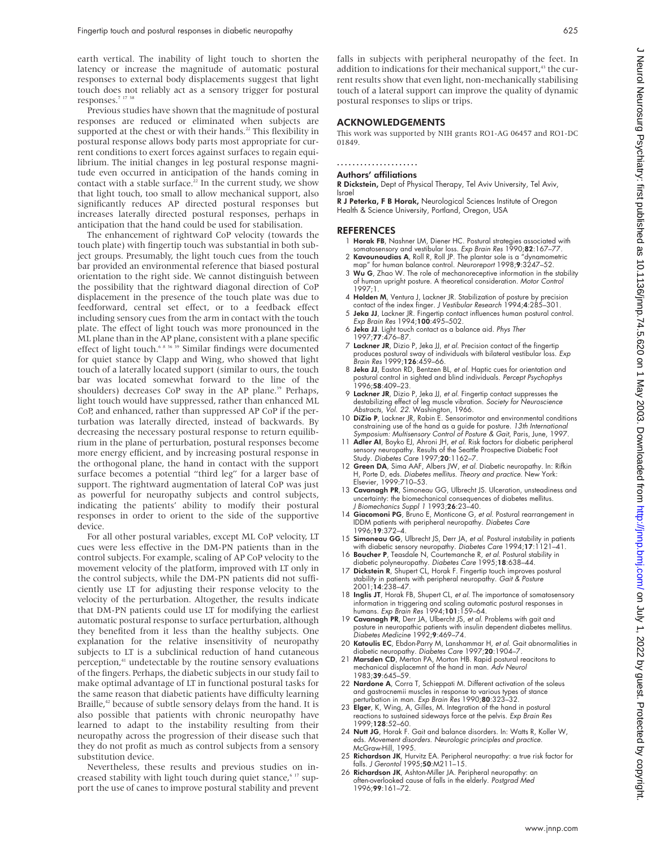earth vertical. The inability of light touch to shorten the latency or increase the magnitude of automatic postural responses to external body displacements suggest that light touch does not reliably act as a sensory trigger for postural responses.<sup>7</sup> <sup>17</sup> <sup>38</sup>

Previous studies have shown that the magnitude of postural responses are reduced or eliminated when subjects are supported at the chest or with their hands.<sup>22</sup> This flexibility in postural response allows body parts most appropriate for current conditions to exert forces against surfaces to regain equilibrium. The initial changes in leg postural response magnitude even occurred in anticipation of the hands coming in contact with a stable surface. $22$  In the current study, we show that light touch, too small to allow mechanical support, also significantly reduces AP directed postural responses but increases laterally directed postural responses, perhaps in anticipation that the hand could be used for stabilisation.

The enhancement of rightward CoP velocity (towards the touch plate) with fingertip touch was substantial in both subject groups. Presumably, the light touch cues from the touch bar provided an environmental reference that biased postural orientation to the right side. We cannot distinguish between the possibility that the rightward diagonal direction of CoP displacement in the presence of the touch plate was due to feedforward, central set effect, or to a feedback effect including sensory cues from the arm in contact with the touch plate. The effect of light touch was more pronounced in the ML plane than in the AP plane, consistent with a plane specific effect of light touch.<sup>6 8 36</sup> 39 Similar findings were documented for quiet stance by Clapp and Wing, who showed that light touch of a laterally located support (similar to ours, the touch bar was located somewhat forward to the line of the shoulders) decreases CoP sway in the AP plane.<sup>39</sup> Perhaps, light touch would have suppressed, rather than enhanced ML CoP, and enhanced, rather than suppressed AP CoP if the perturbation was laterally directed, instead of backwards. By decreasing the necessary postural response to return equilibrium in the plane of perturbation, postural responses become more energy efficient, and by increasing postural response in the orthogonal plane, the hand in contact with the support surface becomes a potential "third leg" for a larger base of support. The rightward augmentation of lateral CoP was just as powerful for neuropathy subjects and control subjects, indicating the patients' ability to modify their postural responses in order to orient to the side of the supportive device.

For all other postural variables, except ML CoP velocity, LT cues were less effective in the DM-PN patients than in the control subjects. For example, scaling of AP CoP velocity to the movement velocity of the platform, improved with LT only in the control subjects, while the DM-PN patients did not sufficiently use LT for adjusting their response velocity to the velocity of the perturbation. Altogether, the results indicate that DM-PN patients could use LT for modifying the earliest automatic postural response to surface perturbation, although they benefited from it less than the healthy subjects. One explanation for the relative insensitivity of neuropathy subjects to LT is a subclinical reduction of hand cutaneous perception,<sup>41</sup> undetectable by the routine sensory evaluations of the fingers. Perhaps, the diabetic subjects in our study fail to make optimal advantage of LT in functional postural tasks for the same reason that diabetic patients have difficulty learning Braille, $42$  because of subtle sensory delays from the hand. It is also possible that patients with chronic neuropathy have learned to adapt to the instability resulting from their neuropathy across the progression of their disease such that they do not profit as much as control subjects from a sensory substitution device.

Nevertheless, these results and previous studies on increased stability with light touch during quiet stance,<sup>6 17</sup> support the use of canes to improve postural stability and prevent falls in subjects with peripheral neuropathy of the feet. In addition to indications for their mechanical support,<sup>43</sup> the current results show that even light, non-mechanically stabilising touch of a lateral support can improve the quality of dynamic postural responses to slips or trips.

#### ACKNOWLEDGEMENTS

This work was supported by NIH grants RO1-AG 06457 and RO1-DC 01849.

.....................

## Authors' affiliations

#### R Dickstein, Dept of Physical Therapy, Tel Aviv University, Tel Aviv,

Israel R J Peterka, F B Horak, Neurological Sciences Institute of Oregon Health & Science University, Portland, Oregon, USA

#### REFERENCES

- 1 Horak FB, Nashner LM, Diener HC. Postural strategies associated with somatosensory and vestibular loss. Exp Brain Res 1990;82:167-77
- 2 Kavounoudias A, Roll R, Roll JP. The plantar sole is a "dynamometric map" for human balance control. Neuroreport 1998;9:3247–52. 3 Wu G, Zhao W. The role of mechanoreceptive information in the stability
- of human upright posture. A theoretical consideration. Motor Control 1997;1.
- 4 Holden M, Ventura J, Lackner JR. Stabilization of posture by precision contact of the index finger. J Vestibular Research 1994;4:285–301.
- 5 Jeka JJ, Lackner JR. Fingertip contact influences human postural control. Exp Brain Res 1994;100:495–502.
- 6 Jeka JJ. Light touch contact as a balance aid. Phys Ther 1997;77:476–87.
- 7 Lackner JR, Dizio P, Jeka JJ, et al. Precision contact of the fingertip produces postural sway of individuals with bilateral vestibular loss. Exp Brain Res 1999;126:459–66.
- 8 Jeka JJ, Easton RD, Bentzen BL, et al. Haptic cues for orientation and postural control in sighted and blind individuals. Percept Psychophys 1996;58:409-23.
- 9 Lackner JR, Dizio P, Jeka JJ, et al. Fingertip contact suppresses the destabilizing effect of leg muscle vibration. Society for Neuroscience Abstracts, Vol. 22. Washington, 1966.
- 10 DiZio P, Lackner JR, Rabin E. Sensorimotor and environmental conditions constraining use of the hand as a guide for posture. 13th International Symposium: Multisensory Control of Posture & Gait, Paris, June, 1997.
- 11 Adler AI, Boyko EJ, Ahroni JH, et al. Risk factors for diabetic peripheral sensory neuropathy. Results of the Seattle Prospective Diabetic Foot Study. Diabetes Care 1997;20:1162-7
- 12 Green DA, Sima AAF, Albers JW, et al. Diabetic neuropathy. In: Rifkin H, Porte D, eds. Diabetes mellitus. Theory and practice. New York: Elsevier, 1999:710–53.
- 13 Cavanagh PR, Simoneau GG, Ulbrecht JS. Ulceration, unsteadiness and uncertainty: the biomechanical consequences of diabetes mellitus. J Biomechanics Suppl <sup>1</sup> 1993;26:23–40.
- 14 Giacomoni PG, Bruno E, Monticone G, et al. Postural rearrangement in IDDM patients with peripheral neuropathy. Diabetes Care 1996;19:372–4.
- 15 Simoneau GG, Ulbrecht JS, Derr JA, et al. Postural instability in patients with diabetic sensory neuropathy. Diabetes Care 1994;17:1121-41.
- 16 Boucher P, Teasdale N, Courtemanche R, et al. Postural stability in diabetic polyneuropathy. Diabetes Care 1995;18:638–44.
- 17 Dickstein R, Shupert CL, Horak F. Fingertip touch improves postural stability in patients with peripheral neuropathy. *Gait & Posture*<br>2001;**14**:238–47.
- 18 Inglis JT, Horak FB, Shupert CL, et al. The importance of somatosensory information in triggering and scaling automatic postural responses in<br>humans. *Exp Brain Res* 1994;**101**:159–64.
- 19 Cavanagh PR, Derr JA, Ulbercht JS, et al. Problems with gait and posture in neuropathic patients with insulin dependent diabetes mellitus. Diabetes Medicine 1992;9:469-74.
- 20 Katoulis EC, Ebdon-Parry M, Lanshammar H, et al. Gait abnormalities in diabetic neuropathy. Diabetes Care 1997;20:1904–7.
- 21 Marsden CD, Merton PA, Morton HB. Rapid postural reacitons to mechanical displacemnt of the hand in man. Adv Neurol 1983;39:645–59.
- 22 Nardone A, Corra T, Schieppati M. Different activation of the soleus and gastrocnemii muscles in response to various types of stance perturbation in man. Exp Brain Res 1990;80:323–32.
- 23 Elger, K, Wing, A, Gilles, M. Integration of the hand in postural reactions to sustained sideways force at the pelvis. Exp Brain Res 1999;128:52–60.
- 24 Nutt JG, Horak F. Gait and balance disorders. In: Watts R, Koller W, eds. Movement disorders. Neurologic principles and practice. McGraw-Hill, 1995.
- 25 Richardson JK, Hurvitz EA. Peripheral neuropathy: a true risk factor for falls. J Gerontol 1995;50:M211-15.
- 26 Richardson JK, Ashton-Miller JA. Peripheral neuropathy: an often-overlooked cause of falls in the elderly. Postgrad Med 1996;99:161–72.